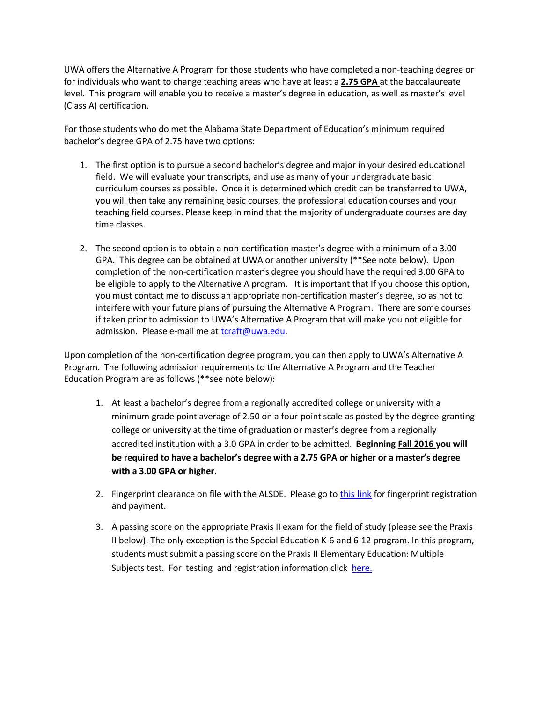UWA offers the Alternative A Program for those students who have completed a non-teaching degree or for individuals who want to change teaching areas who have at least a **2.75 GPA** at the baccalaureate level. This program will enable you to receive a master's degree in education, as well as master's level (Class A) certification.

For those students who do met the Alabama State Department of Education's minimum required bachelor's degree GPA of 2.75 have two options:

- 1. The first option is to pursue a second bachelor's degree and major in your desired educational field. We will evaluate your transcripts, and use as many of your undergraduate basic curriculum courses as possible. Once it is determined which credit can be transferred to UWA, you will then take any remaining basic courses, the professional education courses and your teaching field courses. Please keep in mind that the majority of undergraduate courses are day time classes.
- 2. The second option is to obtain a non-certification master's degree with a minimum of a 3.00 GPA. This degree can be obtained at UWA or another university (\*\*See note below). Upon completion of the non-certification master's degree you should have the required 3.00 GPA to be eligible to apply to the Alternative A program. It is important that If you choose this option, you must contact me to discuss an appropriate non-certification master's degree, so as not to interfere with your future plans of pursuing the Alternative A Program. There are some courses if taken prior to admission to UWA's Alternative A Program that will make you not eligible for admission. Please e-mail me at [tcraft@uwa.edu.](mailto:tcraft@uwa.edu)

Upon completion of the non-certification degree program, you can then apply to UWA's Alternative A Program. The following admission requirements to the Alternative A Program and the Teacher Education Program are as follows (\*\*see note below):

- 1. At least a bachelor's degree from a regionally accredited college or university with a minimum grade point average of 2.50 on a four-point scale as posted by the degree-granting college or university at the time of graduation or master's degree from a regionally accredited institution with a 3.0 GPA in order to be admitted. **Beginning Fall 2016 you will be required to have a bachelor's degree with a 2.75 GPA or higher or a master's degree with a 3.00 GPA or higher.**
- 2. Fingerprint clearance on file with the ALSDE. Please go t[o this link](https://www.uwa.edu/academics/collegeofeducation/aboutthecollege/certificationoffice/backgroundcheck) for fingerprint registration and payment.
- 3. A passing score on the appropriate Praxis II exam for the field of study (please see the Praxis II below). The only exception is the Special Education K-6 and 6-12 program. In this program, students must submit a passing score on the Praxis II Elementary Education: Multiple Subjects test. For testing and registration information click [here.](https://www.uwa.edu/academics/collegeofeducation/aboutthecollege/certificationoffice/alabamaeducatorcertificationtestingprogram.)